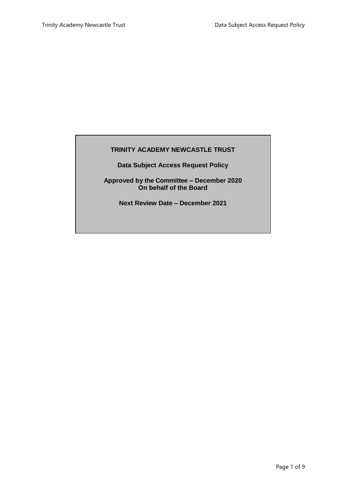# **TRINITY ACADEMY NEWCASTLE TRUST**

**Data Subject Access Request Policy**

**Approved by the Committee – December 2020 On behalf of the Board**

**Next Review Date – December 2021**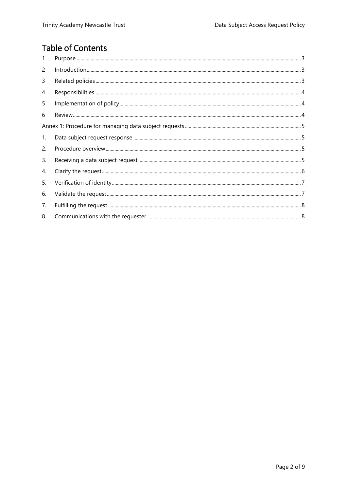# **Table of Contents**

| 1  |  |
|----|--|
| 2  |  |
| 3  |  |
| 4  |  |
| 5  |  |
| 6  |  |
|    |  |
| 1. |  |
| 2. |  |
| 3. |  |
| 4. |  |
| 5. |  |
| 6. |  |
| 7. |  |
| 8. |  |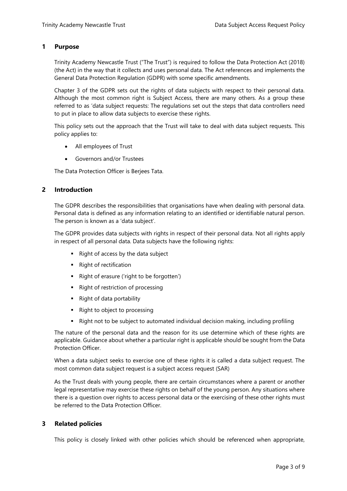## <span id="page-2-0"></span>**1 Purpose**

Trinity Academy Newcastle Trust ("The Trust") is required to follow the Data Protection Act (2018) (the Act) in the way that it collects and uses personal data. The Act references and implements the General Data Protection Regulation (GDPR) with some specific amendments.

Chapter 3 of the GDPR sets out the rights of data subjects with respect to their personal data. Although the most common right is Subject Access, there are many others. As a group these referred to as 'data subject requests: The regulations set out the steps that data controllers need to put in place to allow data subjects to exercise these rights.

This policy sets out the approach that the Trust will take to deal with data subject requests. This policy applies to:

- All employees of Trust
- Governors and/or Trustees

The Data Protection Officer is Berjees Tata.

## <span id="page-2-1"></span>**2 Introduction**

The GDPR describes the responsibilities that organisations have when dealing with personal data. Personal data is defined as any information relating to an identified or identifiable natural person. The person is known as a 'data subject'.

The GDPR provides data subjects with rights in respect of their personal data. Not all rights apply in respect of all personal data. Data subjects have the following rights:

- $\blacksquare$  Right of access by the data subject
- Right of rectification
- Right of erasure ('right to be forgotten')
- Right of restriction of processing
- Right of data portability
- Right to object to processing
- **Right not to be subject to automated individual decision making, including profiling**

The nature of the personal data and the reason for its use determine which of these rights are applicable. Guidance about whether a particular right is applicable should be sought from the Data Protection Officer.

When a data subject seeks to exercise one of these rights it is called a data subject request. The most common data subject request is a subject access request (SAR)

As the Trust deals with young people, there are certain circumstances where a parent or another legal representative may exercise these rights on behalf of the young person. Any situations where there is a question over rights to access personal data or the exercising of these other rights must be referred to the Data Protection Officer.

# <span id="page-2-2"></span>**3 Related policies**

This policy is closely linked with other policies which should be referenced when appropriate,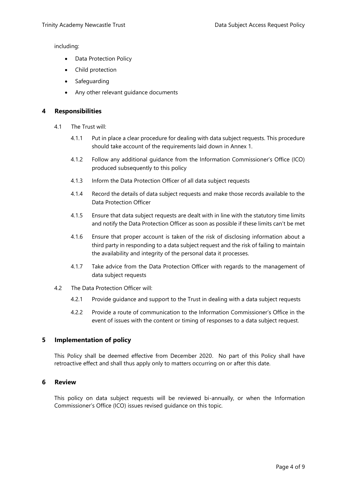including:

- Data Protection Policy
- Child protection
- Safeguarding
- Any other relevant guidance documents

#### <span id="page-3-0"></span>**4 Responsibilities**

- 4.1 The Trust will:
	- 4.1.1 Put in place a clear procedure for dealing with data subject requests. This procedure should take account of the requirements laid down in Annex 1.
	- 4.1.2 Follow any additional guidance from the Information Commissioner's Office (ICO) produced subsequently to this policy
	- 4.1.3 Inform the Data Protection Officer of all data subject requests
	- 4.1.4 Record the details of data subject requests and make those records available to the Data Protection Officer
	- 4.1.5 Ensure that data subject requests are dealt with in line with the statutory time limits and notify the Data Protection Officer as soon as possible if these limits can't be met
	- 4.1.6 Ensure that proper account is taken of the risk of disclosing information about a third party in responding to a data subject request and the risk of failing to maintain the availability and integrity of the personal data it processes.
	- 4.1.7 Take advice from the Data Protection Officer with regards to the management of data subject requests
- 4.2 The Data Protection Officer will:
	- 4.2.1 Provide guidance and support to the Trust in dealing with a data subject requests
	- 4.2.2 Provide a route of communication to the Information Commissioner's Office in the event of issues with the content or timing of responses to a data subject request.

# <span id="page-3-1"></span>**5 Implementation of policy**

This Policy shall be deemed effective from December 2020. No part of this Policy shall have retroactive effect and shall thus apply only to matters occurring on or after this date.

#### <span id="page-3-2"></span>**6 Review**

This policy on data subject requests will be reviewed bi-annually, or when the Information Commissioner's Office (ICO) issues revised guidance on this topic.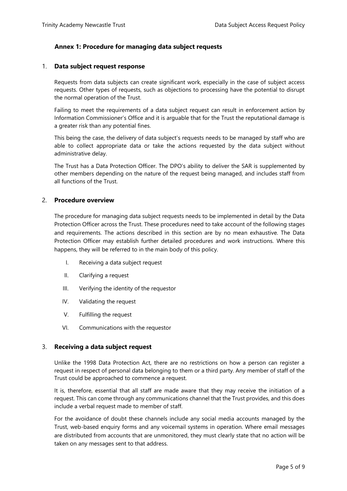# <span id="page-4-0"></span>**Annex 1: Procedure for managing data subject requests**

#### <span id="page-4-1"></span>1. **Data subject request response**

Requests from data subjects can create significant work, especially in the case of subject access requests. Other types of requests, such as objections to processing have the potential to disrupt the normal operation of the Trust.

Failing to meet the requirements of a data subject request can result in enforcement action by Information Commissioner's Office and it is arguable that for the Trust the reputational damage is a greater risk than any potential fines.

This being the case, the delivery of data subject's requests needs to be managed by staff who are able to collect appropriate data or take the actions requested by the data subject without administrative delay.

The Trust has a Data Protection Officer. The DPO's ability to deliver the SAR is supplemented by other members depending on the nature of the request being managed, and includes staff from all functions of the Trust.

#### <span id="page-4-2"></span>2. **Procedure overview**

The procedure for managing data subject requests needs to be implemented in detail by the Data Protection Officer across the Trust. These procedures need to take account of the following stages and requirements. The actions described in this section are by no mean exhaustive. The Data Protection Officer may establish further detailed procedures and work instructions. Where this happens, they will be referred to in the main body of this policy.

- I. Receiving a data subject request
- II. Clarifying a request
- III. Verifying the identity of the requestor
- IV. Validating the request
- V. Fulfilling the request
- VI. Communications with the requestor

#### <span id="page-4-3"></span>3. **Receiving a data subject request**

Unlike the 1998 Data Protection Act, there are no restrictions on how a person can register a request in respect of personal data belonging to them or a third party. Any member of staff of the Trust could be approached to commence a request.

It is, therefore, essential that all staff are made aware that they may receive the initiation of a request. This can come through any communications channel that the Trust provides, and this does include a verbal request made to member of staff.

For the avoidance of doubt these channels include any social media accounts managed by the Trust, web-based enquiry forms and any voicemail systems in operation. Where email messages are distributed from accounts that are unmonitored, they must clearly state that no action will be taken on any messages sent to that address.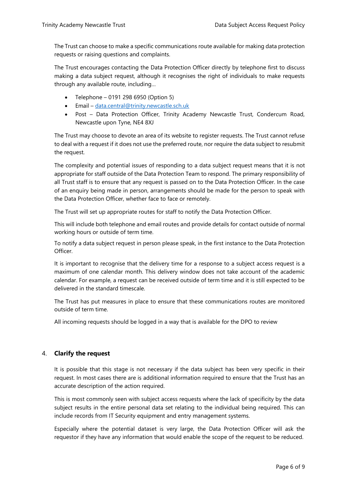The Trust can choose to make a specific communications route available for making data protection requests or raising questions and complaints.

The Trust encourages contacting the Data Protection Officer directly by telephone first to discuss making a data subject request, although it recognises the right of individuals to make requests through any available route, including…

- Telephone 0191 298 6950 (Option 5)
- Email [data.central@trinity.newcastle.sch.uk](mailto:data.central@trinity.newcastle.sch.uk)
- Post Data Protection Officer, Trinity Academy Newcastle Trust, Condercum Road, Newcastle upon Tyne, NE4 8XJ

The Trust may choose to devote an area of its website to register requests. The Trust cannot refuse to deal with a request if it does not use the preferred route, nor require the data subject to resubmit the request.

The complexity and potential issues of responding to a data subject request means that it is not appropriate for staff outside of the Data Protection Team to respond. The primary responsibility of all Trust staff is to ensure that any request is passed on to the Data Protection Officer. In the case of an enquiry being made in person, arrangements should be made for the person to speak with the Data Protection Officer, whether face to face or remotely.

The Trust will set up appropriate routes for staff to notify the Data Protection Officer.

This will include both telephone and email routes and provide details for contact outside of normal working hours or outside of term time.

To notify a data subject request in person please speak, in the first instance to the Data Protection Officer.

It is important to recognise that the delivery time for a response to a subject access request is a maximum of one calendar month. This delivery window does not take account of the academic calendar. For example, a request can be received outside of term time and it is still expected to be delivered in the standard timescale.

The Trust has put measures in place to ensure that these communications routes are monitored outside of term time.

All incoming requests should be logged in a way that is available for the DPO to review

# <span id="page-5-0"></span>4. **Clarify the request**

It is possible that this stage is not necessary if the data subject has been very specific in their request. In most cases there are is additional information required to ensure that the Trust has an accurate description of the action required.

This is most commonly seen with subject access requests where the lack of specificity by the data subject results in the entire personal data set relating to the individual being required. This can include records from IT Security equipment and entry management systems.

Especially where the potential dataset is very large, the Data Protection Officer will ask the requestor if they have any information that would enable the scope of the request to be reduced.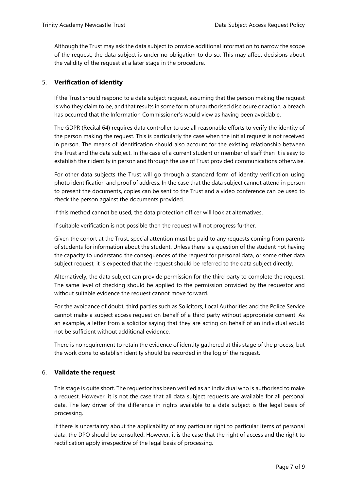Although the Trust may ask the data subject to provide additional information to narrow the scope of the request, the data subject is under no obligation to do so. This may affect decisions about the validity of the request at a later stage in the procedure.

# <span id="page-6-0"></span>5. **Verification of identity**

If the Trust should respond to a data subject request, assuming that the person making the request is who they claim to be, and that results in some form of unauthorised disclosure or action, a breach has occurred that the Information Commissioner's would view as having been avoidable.

The GDPR (Recital 64) requires data controller to use all reasonable efforts to verify the identity of the person making the request. This is particularly the case when the initial request is not received in person. The means of identification should also account for the existing relationship between the Trust and the data subject. In the case of a current student or member of staff then it is easy to establish their identity in person and through the use of Trust provided communications otherwise.

For other data subjects the Trust will go through a standard form of identity verification using photo identification and proof of address. In the case that the data subject cannot attend in person to present the documents, copies can be sent to the Trust and a video conference can be used to check the person against the documents provided.

If this method cannot be used, the data protection officer will look at alternatives.

If suitable verification is not possible then the request will not progress further.

Given the cohort at the Trust, special attention must be paid to any requests coming from parents of students for information about the student. Unless there is a question of the student not having the capacity to understand the consequences of the request for personal data, or some other data subject request, it is expected that the request should be referred to the data subject directly.

Alternatively, the data subject can provide permission for the third party to complete the request. The same level of checking should be applied to the permission provided by the requestor and without suitable evidence the request cannot move forward.

For the avoidance of doubt, third parties such as Solicitors, Local Authorities and the Police Service cannot make a subject access request on behalf of a third party without appropriate consent. As an example, a letter from a solicitor saying that they are acting on behalf of an individual would not be sufficient without additional evidence.

There is no requirement to retain the evidence of identity gathered at this stage of the process, but the work done to establish identity should be recorded in the log of the request.

# <span id="page-6-1"></span>6. **Validate the request**

This stage is quite short. The requestor has been verified as an individual who is authorised to make a request. However, it is not the case that all data subject requests are available for all personal data. The key driver of the difference in rights available to a data subject is the legal basis of processing.

If there is uncertainty about the applicability of any particular right to particular items of personal data, the DPO should be consulted. However, it is the case that the right of access and the right to rectification apply irrespective of the legal basis of processing.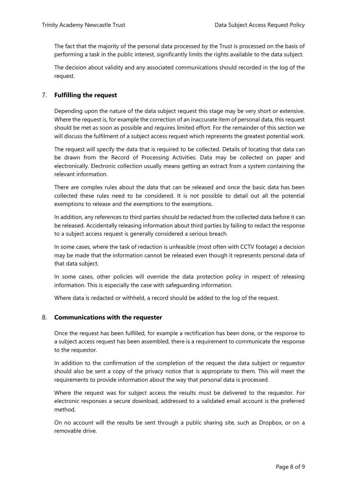The fact that the majority of the personal data processed by the Trust is processed on the basis of performing a task in the public interest, significantly limits the rights available to the data subject.

The decision about validity and any associated communications should recorded in the log of the request.

# <span id="page-7-0"></span>7. **Fulfilling the request**

Depending upon the nature of the data subject request this stage may be very short or extensive. Where the request is, for example the correction of an inaccurate item of personal data, this request should be met as soon as possible and requires limited effort. For the remainder of this section we will discuss the fulfilment of a subject access request which represents the greatest potential work.

The request will specify the data that is required to be collected. Details of locating that data can be drawn from the Record of Processing Activities. Data may be collected on paper and electronically. Electronic collection usually means getting an extract from a system containing the relevant information.

There are complex rules about the data that can be released and once the basic data has been collected these rules need to be considered. It is not possible to detail out all the potential exemptions to release and the exemptions to the exemptions.

In addition, any references to third parties should be redacted from the collected data before it can be released. Accidentally releasing information about third parties by failing to redact the response to a subject access request is generally considered a serious breach.

In some cases, where the task of redaction is unfeasible (most often with CCTV footage) a decision may be made that the information cannot be released even though it represents personal data of that data subject.

In some cases, other policies will override the data protection policy in respect of releasing information. This is especially the case with safeguarding information.

Where data is redacted or withheld, a record should be added to the log of the request.

# <span id="page-7-1"></span>8. **Communications with the requester**

Once the request has been fulfilled, for example a rectification has been done, or the response to a subject access request has been assembled, there is a requirement to communicate the response to the requestor.

In addition to the confirmation of the completion of the request the data subject or requestor should also be sent a copy of the privacy notice that is appropriate to them. This will meet the requirements to provide information about the way that personal data is processed.

Where the request was for subject access the results must be delivered to the requestor. For electronic responses a secure download, addressed to a validated email account is the preferred method.

On no account will the results be sent through a public sharing site, such as Dropbox, or on a removable drive.